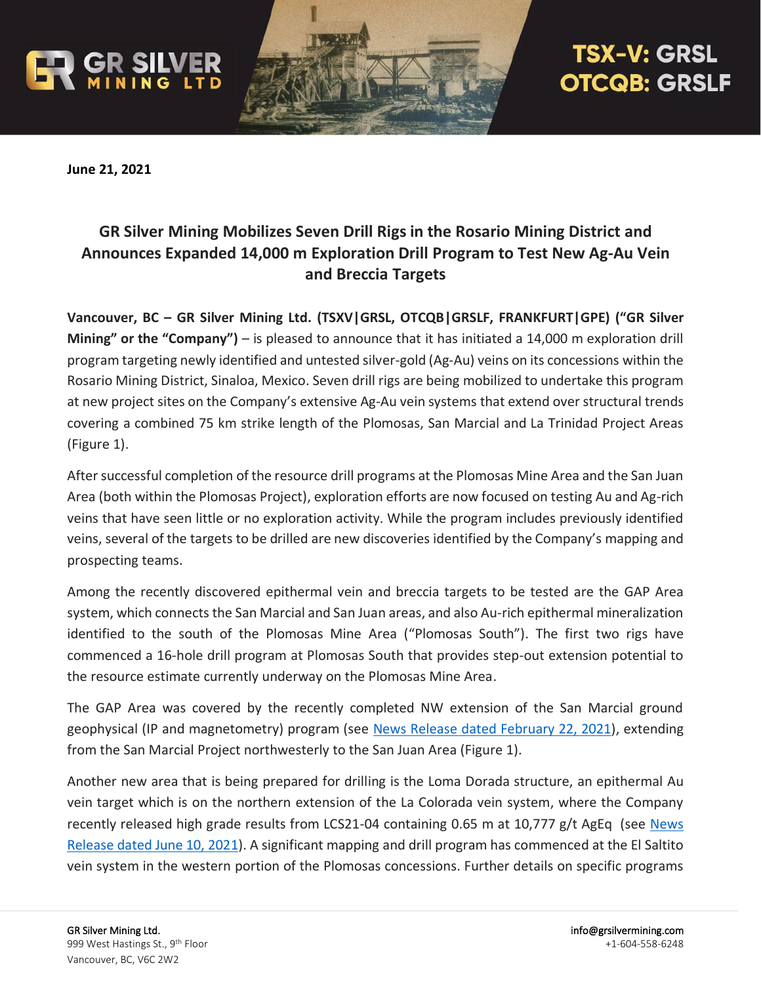



# **TSX-V: GRSL OTCQB: GRSLF**

**June 21, 2021**

# **GR Silver Mining Mobilizes Seven Drill Rigs in the Rosario Mining District and Announces Expanded 14,000 m Exploration Drill Program to Test New Ag-Au Vein and Breccia Targets**

**Vancouver, BC – GR Silver Mining Ltd. (TSXV|GRSL, OTCQB|GRSLF, FRANKFURT|GPE) ("GR Silver Mining" or the "Company")** – is pleased to announce that it has initiated a 14,000 m exploration drill program targeting newly identified and untested silver-gold (Ag-Au) veins on its concessions within the Rosario Mining District, Sinaloa, Mexico. Seven drill rigs are being mobilized to undertake this program at new project sites on the Company's extensive Ag-Au vein systems that extend over structural trends covering a combined 75 km strike length of the Plomosas, San Marcial and La Trinidad Project Areas (Figure 1).

After successful completion of the resource drill programs at the Plomosas Mine Area and the San Juan Area (both within the Plomosas Project), exploration efforts are now focused on testing Au and Ag-rich veins that have seen little or no exploration activity. While the program includes previously identified veins, several of the targets to be drilled are new discoveries identified by the Company's mapping and prospecting teams.

Among the recently discovered epithermal vein and breccia targets to be tested are the GAP Area system, which connects the San Marcial and San Juan areas, and also Au-rich epithermal mineralization identified to the south of the Plomosas Mine Area ("Plomosas South"). The first two rigs have commenced a 16-hole drill program at Plomosas South that provides step-out extension potential to the resource estimate currently underway on the Plomosas Mine Area.

The GAP Area was covered by the recently completed NW extension of the San Marcial ground geophysical (IP and magnetometry) program (see [News Release dated February 22, 2021\)](https://grsilvermining.com/wp-content/uploads/2021/02/22-02-12_GR-Silver-News-Release.pdf), extending from the San Marcial Project northwesterly to the San Juan Area (Figure 1).

Another new area that is being prepared for drilling is the Loma Dorada structure, an epithermal Au vein target which is on the northern extension of the La Colorada vein system, where the Company recently released high grade results from LCS21-04 containing 0.65 m at 10,777 g/t AgEq (see [News](https://grsilvermining.com/wp-content/uploads/2021/06/GRSL.NewsRelease.10JUN2021.FINAL_.pdf)  [Release dated June 10, 2021\)](https://grsilvermining.com/wp-content/uploads/2021/06/GRSL.NewsRelease.10JUN2021.FINAL_.pdf). A significant mapping and drill program has commenced at the El Saltito vein system in the western portion of the Plomosas concessions. Further details on specific programs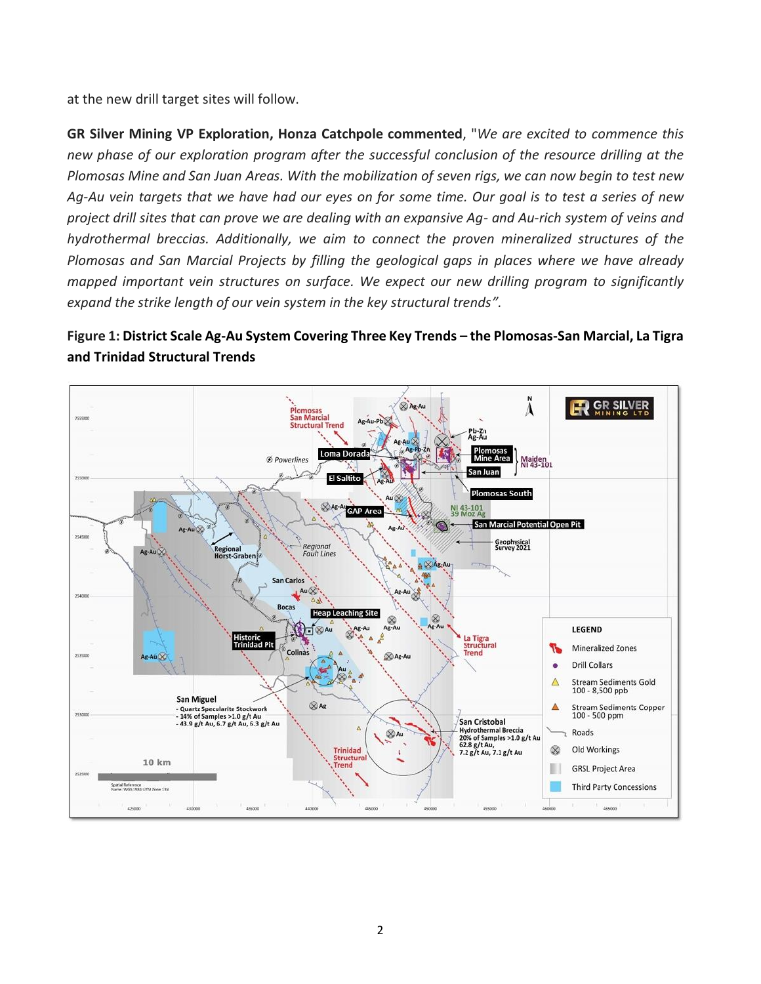at the new drill target sites will follow.

**GR Silver Mining VP Exploration, Honza Catchpole commented**, "*We are excited to commence this new phase of our exploration program after the successful conclusion of the resource drilling at the Plomosas Mine and San Juan Areas. With the mobilization of seven rigs, we can now begin to test new Ag-Au vein targets that we have had our eyes on for some time. Our goal is to test a series of new project drill sites that can prove we are dealing with an expansive Ag- and Au-rich system of veins and hydrothermal breccias. Additionally, we aim to connect the proven mineralized structures of the Plomosas and San Marcial Projects by filling the geological gaps in places where we have already mapped important vein structures on surface. We expect our new drilling program to significantly expand the strike length of our vein system in the key structural trends".*

# **Figure 1: District Scale Ag-Au System Covering Three Key Trends – the Plomosas-San Marcial, La Tigra and Trinidad Structural Trends**

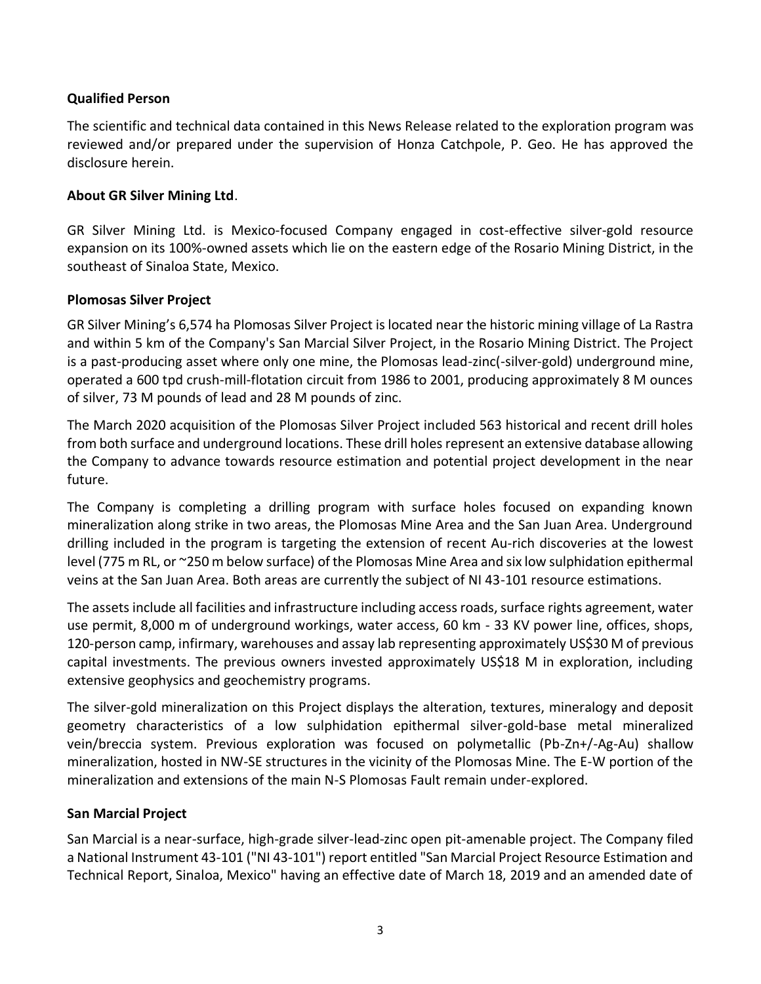#### **Qualified Person**

The scientific and technical data contained in this News Release related to the exploration program was reviewed and/or prepared under the supervision of Honza Catchpole, P. Geo. He has approved the disclosure herein.

#### **About GR Silver Mining Ltd**.

GR Silver Mining Ltd. is Mexico-focused Company engaged in cost-effective silver-gold resource expansion on its 100%-owned assets which lie on the eastern edge of the Rosario Mining District, in the southeast of Sinaloa State, Mexico.

#### **Plomosas Silver Project**

GR Silver Mining's 6,574 ha Plomosas Silver Project is located near the historic mining village of La Rastra and within 5 km of the Company's San Marcial Silver Project, in the Rosario Mining District. The Project is a past-producing asset where only one mine, the Plomosas lead-zinc(-silver-gold) underground mine, operated a 600 tpd crush-mill-flotation circuit from 1986 to 2001, producing approximately 8 M ounces of silver, 73 M pounds of lead and 28 M pounds of zinc.

The March 2020 acquisition of the Plomosas Silver Project included 563 historical and recent drill holes from both surface and underground locations. These drill holes represent an extensive database allowing the Company to advance towards resource estimation and potential project development in the near future.

The Company is completing a drilling program with surface holes focused on expanding known mineralization along strike in two areas, the Plomosas Mine Area and the San Juan Area. Underground drilling included in the program is targeting the extension of recent Au-rich discoveries at the lowest level (775 m RL, or ~250 m below surface) of the Plomosas Mine Area and six low sulphidation epithermal veins at the San Juan Area. Both areas are currently the subject of NI 43-101 resource estimations.

The assets include all facilities and infrastructure including access roads, surface rights agreement, water use permit, 8,000 m of underground workings, water access, 60 km - 33 KV power line, offices, shops, 120-person camp, infirmary, warehouses and assay lab representing approximately US\$30 M of previous capital investments. The previous owners invested approximately US\$18 M in exploration, including extensive geophysics and geochemistry programs.

The silver-gold mineralization on this Project displays the alteration, textures, mineralogy and deposit geometry characteristics of a low sulphidation epithermal silver-gold-base metal mineralized vein/breccia system. Previous exploration was focused on polymetallic (Pb-Zn+/-Ag-Au) shallow mineralization, hosted in NW-SE structures in the vicinity of the Plomosas Mine. The E-W portion of the mineralization and extensions of the main N-S Plomosas Fault remain under-explored.

#### **San Marcial Project**

San Marcial is a near-surface, high-grade silver-lead-zinc open pit-amenable project. The Company filed a National Instrument 43-101 ("NI 43-101") report entitled "San Marcial Project Resource Estimation and Technical Report, Sinaloa, Mexico" having an effective date of March 18, 2019 and an amended date of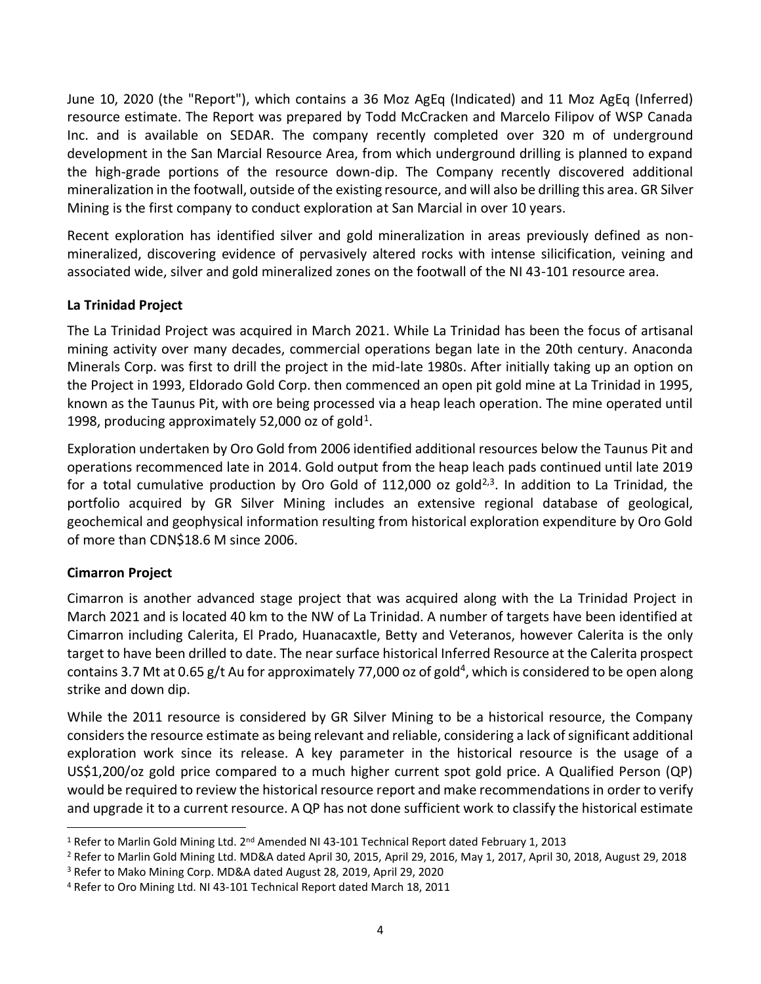June 10, 2020 (the "Report"), which contains a 36 Moz AgEq (Indicated) and 11 Moz AgEq (Inferred) resource estimate. The Report was prepared by Todd McCracken and Marcelo Filipov of WSP Canada Inc. and is available on SEDAR. The company recently completed over 320 m of underground development in the San Marcial Resource Area, from which underground drilling is planned to expand the high-grade portions of the resource down-dip. The Company recently discovered additional mineralization in the footwall, outside of the existing resource, and will also be drilling this area. GR Silver Mining is the first company to conduct exploration at San Marcial in over 10 years.

Recent exploration has identified silver and gold mineralization in areas previously defined as nonmineralized, discovering evidence of pervasively altered rocks with intense silicification, veining and associated wide, silver and gold mineralized zones on the footwall of the NI 43-101 resource area.

# **La Trinidad Project**

The La Trinidad Project was acquired in March 2021. While La Trinidad has been the focus of artisanal mining activity over many decades, commercial operations began late in the 20th century. Anaconda Minerals Corp. was first to drill the project in the mid-late 1980s. After initially taking up an option on the Project in 1993, Eldorado Gold Corp. then commenced an open pit gold mine at La Trinidad in 1995, known as the Taunus Pit, with ore being processed via a heap leach operation. The mine operated until 1998, producing approximately 52,000 oz of gold<sup>1</sup>.

Exploration undertaken by Oro Gold from 2006 identified additional resources below the Taunus Pit and operations recommenced late in 2014. Gold output from the heap leach pads continued until late 2019 for a total cumulative production by Oro Gold of 112,000 oz gold<sup>2,3</sup>. In addition to La Trinidad, the portfolio acquired by GR Silver Mining includes an extensive regional database of geological, geochemical and geophysical information resulting from historical exploration expenditure by Oro Gold of more than CDN\$18.6 M since 2006.

# **Cimarron Project**

Cimarron is another advanced stage project that was acquired along with the La Trinidad Project in March 2021 and is located 40 km to the NW of La Trinidad. A number of targets have been identified at Cimarron including Calerita, El Prado, Huanacaxtle, Betty and Veteranos, however Calerita is the only target to have been drilled to date. The near surface historical Inferred Resource at the Calerita prospect contains 3.7 Mt at 0.65 g/t Au for approximately 77,000 oz of gold<sup>4</sup>, which is considered to be open along strike and down dip.

While the 2011 resource is considered by GR Silver Mining to be a historical resource, the Company considers the resource estimate as being relevant and reliable, considering a lack of significant additional exploration work since its release. A key parameter in the historical resource is the usage of a US\$1,200/oz gold price compared to a much higher current spot gold price. A Qualified Person (QP) would be required to review the historical resource report and make recommendations in order to verify and upgrade it to a current resource. A QP has not done sufficient work to classify the historical estimate

<sup>&</sup>lt;sup>1</sup> Refer to Marlin Gold Mining Ltd. 2<sup>nd</sup> Amended NI 43-101 Technical Report dated February 1, 2013

<sup>2</sup> Refer to Marlin Gold Mining Ltd. MD&A dated April 30, 2015, April 29, 2016, May 1, 2017, April 30, 2018, August 29, 2018

<sup>3</sup> Refer to Mako Mining Corp. MD&A dated August 28, 2019, April 29, 2020

<sup>4</sup> Refer to Oro Mining Ltd. NI 43-101 Technical Report dated March 18, 2011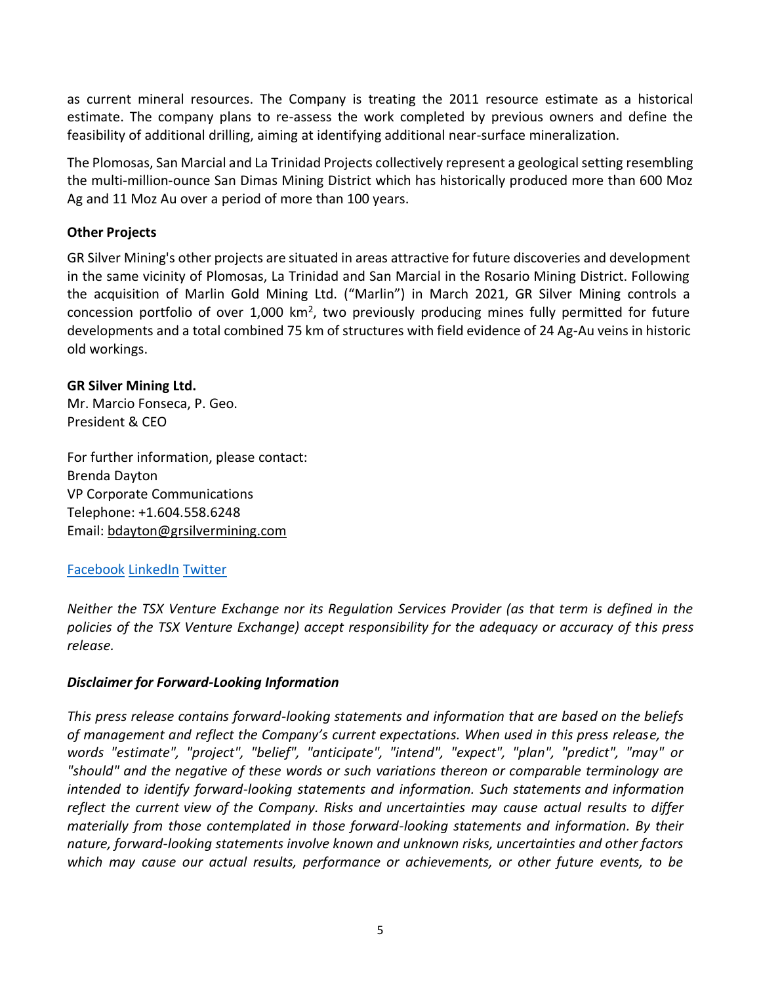as current mineral resources. The Company is treating the 2011 resource estimate as a historical estimate. The company plans to re-assess the work completed by previous owners and define the feasibility of additional drilling, aiming at identifying additional near-surface mineralization.

The Plomosas, San Marcial and La Trinidad Projects collectively represent a geological setting resembling the multi-million-ounce San Dimas Mining District which has historically produced more than 600 Moz Ag and 11 Moz Au over a period of more than 100 years.

# **Other Projects**

GR Silver Mining's other projects are situated in areas attractive for future discoveries and development in the same vicinity of Plomosas, La Trinidad and San Marcial in the Rosario Mining District. Following the acquisition of Marlin Gold Mining Ltd. ("Marlin") in March 2021, GR Silver Mining controls a concession portfolio of over 1,000 km<sup>2</sup>, two previously producing mines fully permitted for future developments and a total combined 75 km of structures with field evidence of 24 Ag-Au veins in historic old workings.

#### **GR Silver Mining Ltd.**

Mr. Marcio Fonseca, P. Geo. President & CEO

For further information, please contact: Brenda Dayton VP Corporate Communications Telephone: +1.604.558.6248 Email: bdayto[n@grsilvermining.com](mailto:info@grsilvermining.com)

# [Facebook](https://www.facebook.com/GR-Silver-Mining-Ltd-112373000294526/) [LinkedIn](https://www.linkedin.com/company/grsilvermining) [Twitter](https://twitter.com/GRSilverMining)

*Neither the TSX Venture Exchange nor its Regulation Services Provider (as that term is defined in the policies of the TSX Venture Exchange) accept responsibility for the adequacy or accuracy of this press release.*

#### *Disclaimer for Forward-Looking Information*

*This press release contains forward-looking statements and information that are based on the beliefs of management and reflect the Company's current expectations. When used in this press release, the words "estimate", "project", "belief", "anticipate", "intend", "expect", "plan", "predict", "may" or "should" and the negative of these words or such variations thereon or comparable terminology are intended to identify forward-looking statements and information. Such statements and information reflect the current view of the Company. Risks and uncertainties may cause actual results to differ materially from those contemplated in those forward-looking statements and information. By their nature, forward-looking statements involve known and unknown risks, uncertainties and other factors which may cause our actual results, performance or achievements, or other future events, to be*